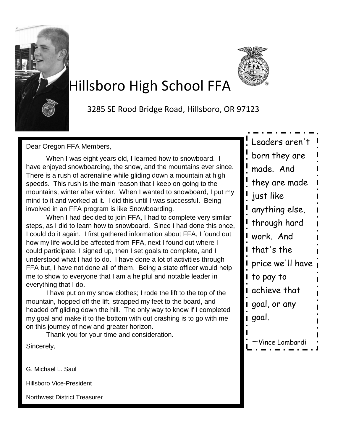

# Hillsboro High School FFA

3285 SE Rood Bridge Road, Hillsboro, OR 97123

Dear Oregon FFA Members,

When I was eight years old, I learned how to snowboard. I have enjoyed snowboarding, the snow, and the mountains ever since. There is a rush of adrenaline while gliding down a mountain at high speeds. This rush is the main reason that I keep on going to the mountains, winter after winter. When I wanted to snowboard, I put my mind to it and worked at it. I did this until I was successful. Being involved in an FFA program is like Snowboarding.

When I had decided to join FFA, I had to complete very similar steps, as I did to learn how to snowboard. Since I had done this once, I could do it again. I first gathered information about FFA, I found out how my life would be affected from FFA, next I found out where I could participate, I signed up, then I set goals to complete, and I understood what I had to do. I have done a lot of activities through FFA but, I have not done all of them. Being a state officer would help me to show to everyone that I am a helpful and notable leader in everything that I do.

I have put on my snow clothes; I rode the lift to the top of the mountain, hopped off the lift, strapped my feet to the board, and headed off gliding down the hill. The only way to know if I completed my goal and make it to the bottom with out crashing is to go with me on this journey of new and greater horizon.

Thank you for your time and consideration.

Sincerely,

G. Michael L. Saul

Hillsboro Vice-President

Northwest District Treasurer

| Leaders aren't   |
|------------------|
| born they are    |
| made. And        |
| they are made    |
| just like        |
| anything else,   |
| through hard     |
| work. And        |
| that's the       |
| price we'll have |
| to pay to        |
| achieve that     |
| goal, or any     |
| goal.            |
|                  |
| ~Vince Lombardi  |